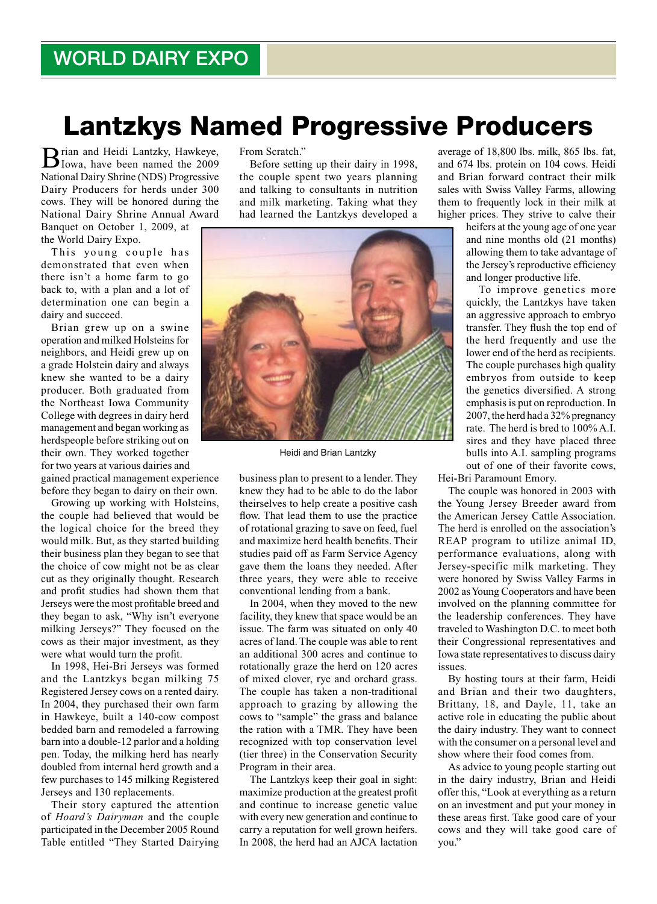## Lantzkys Named Progressive Producers

Brian and Heidi Lantzky, Hawkeye, Iowa, have been named the 2009 National Dairy Shrine (NDS) Progressive Dairy Producers for herds under 300 cows. They will be honored during the National Dairy Shrine Annual Award

Banquet on October 1, 2009, at the World Dairy Expo.

This young couple has demonstrated that even when there isn't a home farm to go back to, with a plan and a lot of determination one can begin a dairy and succeed.

Brian grew up on a swine operation and milked Holsteins for neighbors, and Heidi grew up on a grade Holstein dairy and always knew she wanted to be a dairy producer. Both graduated from the Northeast Iowa Community College with degrees in dairy herd management and began working as herdspeople before striking out on their own. They worked together for two years at various dairies and gained practical management experience

before they began to dairy on their own.

Growing up working with Holsteins, the couple had believed that would be the logical choice for the breed they would milk. But, as they started building their business plan they began to see that the choice of cow might not be as clear cut as they originally thought. Research and profit studies had shown them that Jerseys were the most profitable breed and they began to ask, "Why isn't everyone milking Jerseys?" They focused on the cows as their major investment, as they were what would turn the profit.

In 1998, Hei-Bri Jerseys was formed and the Lantzkys began milking 75 Registered Jersey cows on a rented dairy. In 2004, they purchased their own farm in Hawkeye, built a 140-cow compost bedded barn and remodeled a farrowing barn into a double-12 parlor and a holding pen. Today, the milking herd has nearly doubled from internal herd growth and a few purchases to 145 milking Registered Jerseys and 130 replacements.

Their story captured the attention of *Hoard's Dairyman* and the couple participated in the December 2005 Round Table entitled "They Started Dairying From Scratch."

Before setting up their dairy in 1998, the couple spent two years planning and talking to consultants in nutrition and milk marketing. Taking what they had learned the Lantzkys developed a



Heidi and Brian Lantzky

business plan to present to a lender. They knew they had to be able to do the labor theirselves to help create a positive cash flow. That lead them to use the practice of rotational grazing to save on feed, fuel and maximize herd health benefits. Their studies paid off as Farm Service Agency gave them the loans they needed. After three years, they were able to receive conventional lending from a bank.

In 2004, when they moved to the new facility, they knew that space would be an issue. The farm was situated on only 40 acres of land. The couple was able to rent an additional 300 acres and continue to rotationally graze the herd on 120 acres of mixed clover, rye and orchard grass. The couple has taken a non-traditional approach to grazing by allowing the cows to "sample" the grass and balance the ration with a TMR. They have been recognized with top conservation level (tier three) in the Conservation Security Program in their area.

The Lantzkys keep their goal in sight: maximize production at the greatest profit and continue to increase genetic value with every new generation and continue to carry a reputation for well grown heifers. In 2008, the herd had an AJCA lactation

average of 18,800 lbs. milk, 865 lbs. fat, and 674 lbs. protein on 104 cows. Heidi and Brian forward contract their milk sales with Swiss Valley Farms, allowing them to frequently lock in their milk at higher prices. They strive to calve their

> heifers at the young age of one year and nine months old (21 months) allowing them to take advantage of the Jersey's reproductive efficiency and longer productive life.

> To improve genetics more quickly, the Lantzkys have taken an aggressive approach to embryo transfer. They flush the top end of the herd frequently and use the lower end of the herd as recipients. The couple purchases high quality embryos from outside to keep the genetics diversified. A strong emphasis is put on reproduction. In 2007, the herd had a 32% pregnancy rate. The herd is bred to 100% A.I. sires and they have placed three bulls into A.I. sampling programs out of one of their favorite cows,

Hei-Bri Paramount Emory.

The couple was honored in 2003 with the Young Jersey Breeder award from the American Jersey Cattle Association. The herd is enrolled on the association's REAP program to utilize animal ID, performance evaluations, along with Jersey-specific milk marketing. They were honored by Swiss Valley Farms in 2002 as Young Cooperators and have been involved on the planning committee for the leadership conferences. They have traveled to Washington D.C. to meet both their Congressional representatives and Iowa state representatives to discuss dairy issues.

By hosting tours at their farm, Heidi and Brian and their two daughters, Brittany, 18, and Dayle, 11, take an active role in educating the public about the dairy industry. They want to connect with the consumer on a personal level and show where their food comes from.

As advice to young people starting out in the dairy industry, Brian and Heidi offer this, "Look at everything as a return on an investment and put your money in these areas first. Take good care of your cows and they will take good care of you."